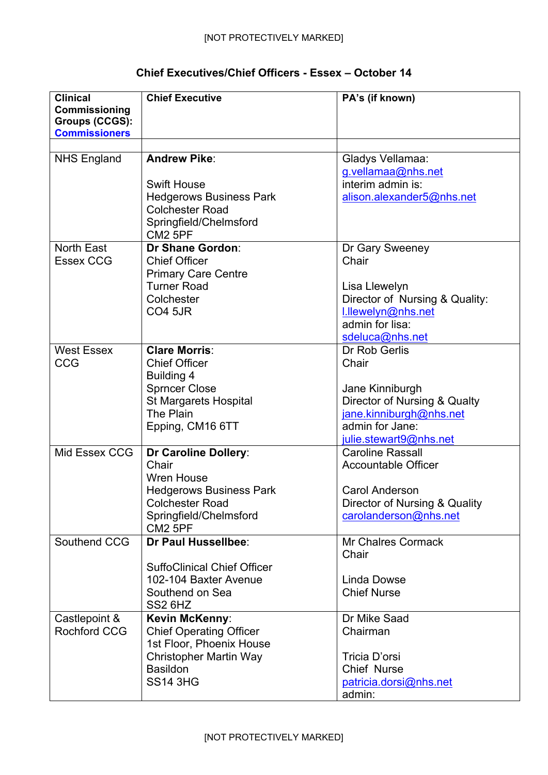## **Chief Executives/Chief Officers - Essex – October 14**

| <b>Clinical</b><br>Commissioning<br>Groups (CCGS):<br><b>Commissioners</b> | <b>Chief Executive</b>             | PA's (if known)                |
|----------------------------------------------------------------------------|------------------------------------|--------------------------------|
|                                                                            |                                    |                                |
| <b>NHS England</b>                                                         | <b>Andrew Pike:</b>                | Gladys Vellamaa:               |
|                                                                            |                                    | g.vellamaa@nhs.net             |
|                                                                            | <b>Swift House</b>                 | interim admin is:              |
|                                                                            | <b>Hedgerows Business Park</b>     | alison.alexander5@nhs.net      |
|                                                                            | <b>Colchester Road</b>             |                                |
|                                                                            | Springfield/Chelmsford             |                                |
|                                                                            | <b>CM2 5PF</b>                     |                                |
| <b>North East</b>                                                          | <b>Dr Shane Gordon:</b>            | Dr Gary Sweeney                |
| <b>Essex CCG</b>                                                           | <b>Chief Officer</b>               | Chair                          |
|                                                                            | <b>Primary Care Centre</b>         |                                |
|                                                                            | <b>Turner Road</b>                 | Lisa Llewelyn                  |
|                                                                            | Colchester                         | Director of Nursing & Quality: |
|                                                                            | <b>CO4 5JR</b>                     | I.llewelyn@nhs.net             |
|                                                                            |                                    | admin for lisa:                |
|                                                                            |                                    | sdeluca@nhs.net                |
| <b>West Essex</b>                                                          | <b>Clare Morris:</b>               | Dr Rob Gerlis                  |
|                                                                            |                                    |                                |
| <b>CCG</b>                                                                 | <b>Chief Officer</b>               | Chair                          |
|                                                                            | Building 4                         |                                |
|                                                                            | <b>Sprncer Close</b>               | Jane Kinniburgh                |
|                                                                            | St Margarets Hospital              | Director of Nursing & Qualty   |
|                                                                            | The Plain                          | jane.kinniburgh@nhs.net        |
|                                                                            | Epping, CM16 6TT                   | admin for Jane:                |
|                                                                            |                                    | julie.stewart9@nhs.net         |
| Mid Essex CCG                                                              | Dr Caroline Dollery:               | <b>Caroline Rassall</b>        |
|                                                                            | Chair                              | <b>Accountable Officer</b>     |
|                                                                            | <b>Wren House</b>                  |                                |
|                                                                            | <b>Hedgerows Business Park</b>     | Carol Anderson                 |
|                                                                            | <b>Colchester Road</b>             | Director of Nursing & Quality  |
|                                                                            | Springfield/Chelmsford             | carolanderson@nhs.net          |
|                                                                            | CM2 5PF                            |                                |
| Southend CCG                                                               | Dr Paul Hussellbee:                | <b>Mr Chalres Cormack</b>      |
|                                                                            |                                    | Chair                          |
|                                                                            | <b>SuffoClinical Chief Officer</b> |                                |
|                                                                            | 102-104 Baxter Avenue              | Linda Dowse                    |
|                                                                            | Southend on Sea                    | <b>Chief Nurse</b>             |
|                                                                            | SS <sub>2</sub> 6H <sub>Z</sub>    |                                |
| Castlepoint &                                                              | Kevin McKenny:                     | Dr Mike Saad                   |
| Rochford CCG                                                               | <b>Chief Operating Officer</b>     | Chairman                       |
|                                                                            | 1st Floor, Phoenix House           |                                |
|                                                                            | <b>Christopher Martin Way</b>      | Tricia D'orsi                  |
|                                                                            | <b>Basildon</b>                    | <b>Chief Nurse</b>             |
|                                                                            | <b>SS14 3HG</b>                    | patricia.dorsi@nhs.net         |
|                                                                            |                                    | admin:                         |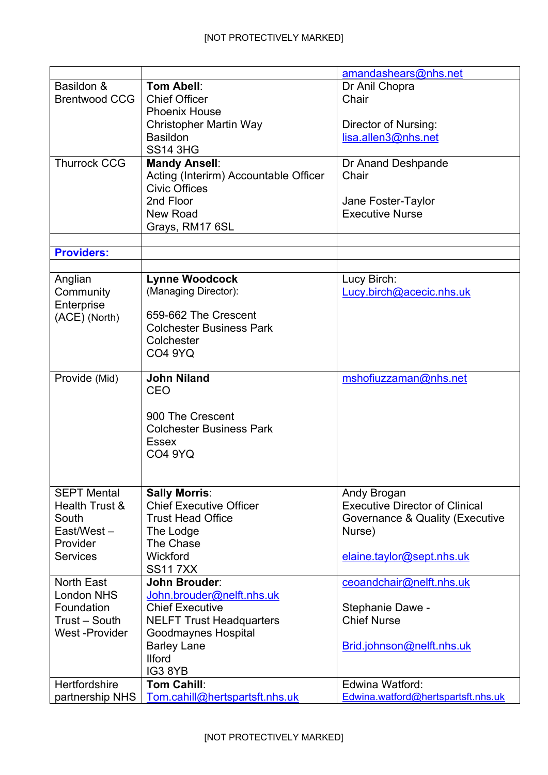|                      |                                       | amandashears@nhs.net                  |
|----------------------|---------------------------------------|---------------------------------------|
| Basildon &           | Tom Abell:                            | Dr Anil Chopra                        |
| <b>Brentwood CCG</b> | <b>Chief Officer</b>                  | Chair                                 |
|                      | <b>Phoenix House</b>                  |                                       |
|                      | <b>Christopher Martin Way</b>         | Director of Nursing:                  |
|                      | <b>Basildon</b>                       | lisa.allen3@nhs.net                   |
|                      | <b>SS14 3HG</b>                       |                                       |
| <b>Thurrock CCG</b>  | <b>Mandy Ansell:</b>                  | Dr Anand Deshpande                    |
|                      | Acting (Interirm) Accountable Officer | Chair                                 |
|                      | <b>Civic Offices</b>                  |                                       |
|                      | 2nd Floor                             | Jane Foster-Taylor                    |
|                      | New Road                              | <b>Executive Nurse</b>                |
|                      | Grays, RM17 6SL                       |                                       |
|                      |                                       |                                       |
| <b>Providers:</b>    |                                       |                                       |
|                      |                                       |                                       |
| Anglian              | <b>Lynne Woodcock</b>                 | Lucy Birch:                           |
| Community            | (Managing Director):                  | Lucy.birch@acecic.nhs.uk              |
| Enterprise           |                                       |                                       |
| (ACE) (North)        | 659-662 The Crescent                  |                                       |
|                      | <b>Colchester Business Park</b>       |                                       |
|                      | Colchester                            |                                       |
|                      | <b>CO4 9YQ</b>                        |                                       |
|                      | <b>John Niland</b>                    |                                       |
| Provide (Mid)        | <b>CEO</b>                            | mshofiuzzaman@nhs.net                 |
|                      |                                       |                                       |
|                      | 900 The Crescent                      |                                       |
|                      | <b>Colchester Business Park</b>       |                                       |
|                      | <b>Essex</b>                          |                                       |
|                      | <b>CO4 9YQ</b>                        |                                       |
|                      |                                       |                                       |
|                      |                                       |                                       |
| <b>SEPT Mental</b>   | <b>Sally Morris:</b>                  | Andy Brogan                           |
| Health Trust &       | <b>Chief Executive Officer</b>        | <b>Executive Director of Clinical</b> |
| South                | <b>Trust Head Office</b>              | Governance & Quality (Executive       |
| East/West-           | The Lodge                             | Nurse)                                |
| Provider             | The Chase                             |                                       |
| <b>Services</b>      | Wickford                              | elaine.taylor@sept.nhs.uk             |
|                      | <b>SS117XX</b>                        |                                       |
| <b>North East</b>    | <b>John Brouder:</b>                  | ceoandchair@nelft.nhs.uk              |
| <b>London NHS</b>    | John.brouder@nelft.nhs.uk             |                                       |
| Foundation           | <b>Chief Executive</b>                | Stephanie Dawe -                      |
| Trust - South        | <b>NELFT Trust Headquarters</b>       | <b>Chief Nurse</b>                    |
| West-Provider        | Goodmaynes Hospital                   |                                       |
|                      | <b>Barley Lane</b>                    | Brid.johnson@nelft.nhs.uk             |
|                      | <b>Ilford</b>                         |                                       |
|                      | IG38YB                                |                                       |
| Hertfordshire        | <b>Tom Cahill:</b>                    | Edwina Watford:                       |
| partnership NHS      | Tom.cahill@hertspartsft.nhs.uk        | Edwina.watford@hertspartsft.nhs.uk    |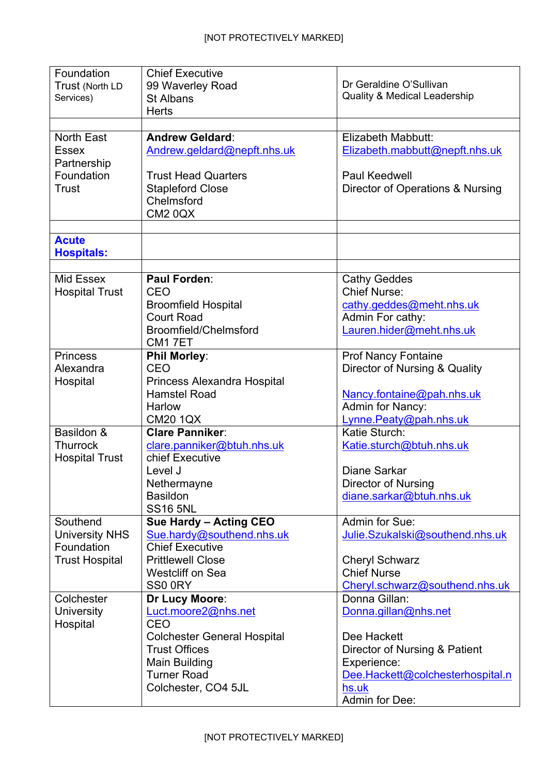| Foundation            | <b>Chief Executive</b>                             |                                               |
|-----------------------|----------------------------------------------------|-----------------------------------------------|
| Trust (North LD       | 99 Waverley Road                                   | Dr Geraldine O'Sullivan                       |
| Services)             | St Albans                                          | <b>Quality &amp; Medical Leadership</b>       |
|                       | <b>Herts</b>                                       |                                               |
|                       |                                                    |                                               |
| <b>North East</b>     | <b>Andrew Geldard:</b>                             | Elizabeth Mabbutt:                            |
| <b>Essex</b>          | Andrew.geldard@nepft.nhs.uk                        | Elizabeth.mabbutt@nepft.nhs.uk                |
| Partnership           |                                                    |                                               |
| Foundation            | <b>Trust Head Quarters</b>                         | <b>Paul Keedwell</b>                          |
| Trust                 | <b>Stapleford Close</b>                            | Director of Operations & Nursing              |
|                       | Chelmsford                                         |                                               |
|                       | <b>CM2 0QX</b>                                     |                                               |
|                       |                                                    |                                               |
| <b>Acute</b>          |                                                    |                                               |
| <b>Hospitals:</b>     |                                                    |                                               |
|                       |                                                    |                                               |
| Mid Essex             | Paul Forden:                                       | <b>Cathy Geddes</b>                           |
| <b>Hospital Trust</b> | <b>CEO</b>                                         | <b>Chief Nurse:</b>                           |
|                       | <b>Broomfield Hospital</b>                         | cathy.geddes@meht.nhs.uk                      |
|                       | <b>Court Road</b>                                  | Admin For cathy:                              |
|                       | Broomfield/Chelmsford                              | Lauren.hider@meht.nhs.uk                      |
|                       | CM17ET                                             |                                               |
| <b>Princess</b>       | <b>Phil Morley:</b><br><b>CEO</b>                  | <b>Prof Nancy Fontaine</b>                    |
| Alexandra             |                                                    | Director of Nursing & Quality                 |
| Hospital              | Princess Alexandra Hospital<br><b>Hamstel Road</b> |                                               |
|                       | Harlow                                             | Nancy.fontaine@pah.nhs.uk<br>Admin for Nancy: |
|                       | <b>CM20 1QX</b>                                    | Lynne.Peaty@pah.nhs.uk                        |
| Basildon &            | <b>Clare Panniker:</b>                             | Katie Sturch:                                 |
| <b>Thurrock</b>       | clare.panniker@btuh.nhs.uk                         | Katie.sturch@btuh.nhs.uk                      |
| <b>Hospital Trust</b> | chief Executive                                    |                                               |
|                       | Level J                                            | <b>Diane Sarkar</b>                           |
|                       | Nethermayne                                        | Director of Nursing                           |
|                       | <b>Basildon</b>                                    | diane.sarkar@btuh.nhs.uk                      |
|                       | <b>SS16 5NL</b>                                    |                                               |
| Southend              | Sue Hardy - Acting CEO                             | Admin for Sue:                                |
| <b>University NHS</b> | Sue.hardy@southend.nhs.uk                          | Julie.Szukalski@southend.nhs.uk               |
| Foundation            | <b>Chief Executive</b>                             |                                               |
| <b>Trust Hospital</b> | <b>Prittlewell Close</b>                           | <b>Cheryl Schwarz</b>                         |
|                       | <b>Westcliff on Sea</b>                            | <b>Chief Nurse</b>                            |
|                       | SS0 0RY                                            | Cheryl.schwarz@southend.nhs.uk                |
| Colchester            | Dr Lucy Moore:                                     | Donna Gillan:                                 |
| <b>University</b>     | Luct.moore2@nhs.net                                | Donna.gillan@nhs.net                          |
| Hospital              | <b>CEO</b>                                         |                                               |
|                       | <b>Colchester General Hospital</b>                 | Dee Hackett                                   |
|                       | <b>Trust Offices</b>                               | Director of Nursing & Patient                 |
|                       | <b>Main Building</b>                               | Experience:                                   |
|                       | <b>Turner Road</b>                                 | Dee.Hackett@colchesterhospital.n              |
|                       | Colchester, CO4 5JL                                | hs.uk                                         |
|                       |                                                    | Admin for Dee:                                |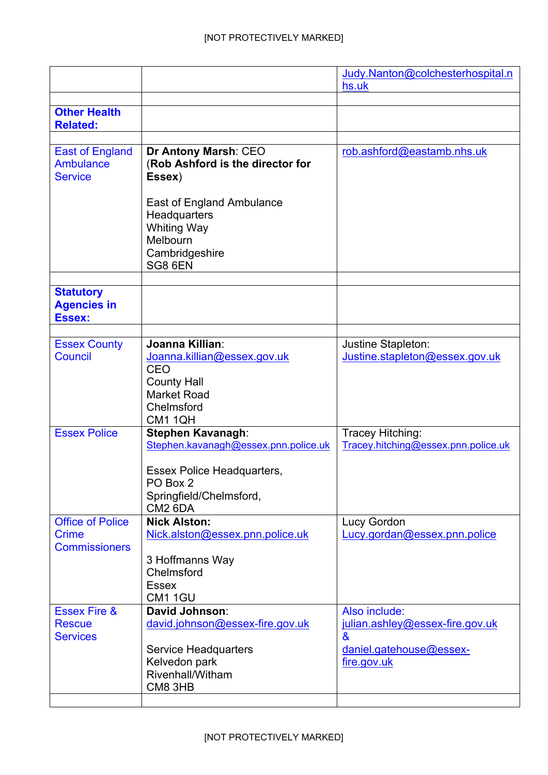|                                                                 |                                                                                                          | Judy.Nanton@colchesterhospital.n                                          |
|-----------------------------------------------------------------|----------------------------------------------------------------------------------------------------------|---------------------------------------------------------------------------|
|                                                                 |                                                                                                          | hs.uk                                                                     |
| <b>Other Health</b>                                             |                                                                                                          |                                                                           |
| <b>Related:</b>                                                 |                                                                                                          |                                                                           |
|                                                                 |                                                                                                          |                                                                           |
| <b>East of England</b><br><b>Ambulance</b><br><b>Service</b>    | <b>Dr Antony Marsh: CEO</b><br>(Rob Ashford is the director for<br>Essex)                                | rob.ashford@eastamb.nhs.uk                                                |
|                                                                 | East of England Ambulance<br>Headquarters<br><b>Whiting Way</b><br>Melbourn<br>Cambridgeshire<br>SG8 6EN |                                                                           |
| <b>Statutory</b><br><b>Agencies in</b><br>Essex:                |                                                                                                          |                                                                           |
|                                                                 |                                                                                                          |                                                                           |
| <b>Essex County</b><br>Council                                  | Joanna Killian:<br>Joanna.killian@essex.gov.uk<br><b>CEO</b><br><b>County Hall</b>                       | Justine Stapleton:<br>Justine.stapleton@essex.gov.uk                      |
|                                                                 | <b>Market Road</b><br>Chelmsford<br>CM1 1QH                                                              |                                                                           |
| <b>Essex Police</b>                                             | Stephen Kavanagh:<br>Stephen.kavanagh@essex.pnn.police.uk                                                | Tracey Hitching:<br>Tracey.hitching@essex.pnn.police.uk                   |
|                                                                 | Essex Police Headquarters,<br>PO Box 2<br>Springfield/Chelmsford,<br>CM <sub>2</sub> 6DA                 |                                                                           |
| <b>Office of Police</b><br><b>Crime</b><br><b>Commissioners</b> | <b>Nick Alston:</b><br>Nick.alston@essex.pnn.police.uk                                                   | Lucy Gordon<br>Lucy.gordan@essex.pnn.police                               |
|                                                                 | 3 Hoffmanns Way<br>Chelmsford<br><b>Essex</b><br><b>CM1 1GU</b>                                          |                                                                           |
| <b>Essex Fire &amp;</b><br><b>Rescue</b><br><b>Services</b>     | David Johnson:<br>david.johnson@essex-fire.gov.uk                                                        | Also include:<br>julian.ashley@essex-fire.gov.uk<br>$\boldsymbol{\alpha}$ |
|                                                                 | <b>Service Headquarters</b><br>Kelvedon park<br>Rivenhall/Witham<br>CM8 3HB                              | daniel.gatehouse@essex-<br>fire.gov.uk                                    |
|                                                                 |                                                                                                          |                                                                           |